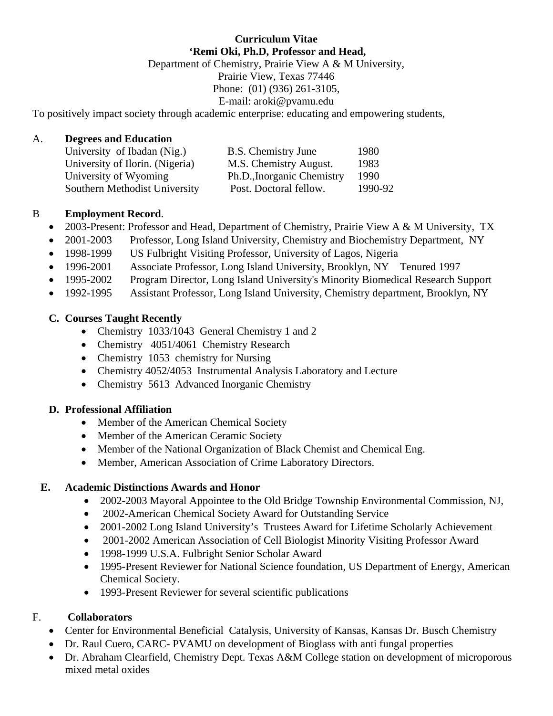# **Curriculum Vitae 'Remi Oki, Ph.D, Professor and Head,**  Department of Chemistry, Prairie View A & M University, Prairie View, Texas 77446 Phone: (01) (936) 261-3105, E-mail: aroki@pvamu.edu

To positively impact society through academic enterprise: educating and empowering students,

#### A. **Degrees and Education**

| University of Ibadan (Nig.)     | B.S. Chemistry June        | 1980    |
|---------------------------------|----------------------------|---------|
| University of Ilorin. (Nigeria) | M.S. Chemistry August.     | 1983    |
| University of Wyoming           | Ph.D., Inorganic Chemistry | 1990    |
| Southern Methodist University   | Post. Doctoral fellow.     | 1990-92 |

## B **Employment Record**.

- 2003-Present: Professor and Head, Department of Chemistry, Prairie View A & M University, TX
- 2001-2003 Professor, Long Island University, Chemistry and Biochemistry Department, NY
- 1998-1999 US Fulbright Visiting Professor, University of Lagos, Nigeria
- 1996-2001 Associate Professor, Long Island University, Brooklyn, NY Tenured 1997
- 1995-2002 Program Director, Long Island University's Minority Biomedical Research Support
- 1992-1995 Assistant Professor, Long Island University, Chemistry department, Brooklyn, NY

## **C. Courses Taught Recently**

- Chemistry 1033/1043 General Chemistry 1 and 2
- Chemistry 4051/4061 Chemistry Research
- Chemistry 1053 chemistry for Nursing
- Chemistry 4052/4053 Instrumental Analysis Laboratory and Lecture
- Chemistry 5613 Advanced Inorganic Chemistry

#### **D. Professional Affiliation**

- Member of the American Chemical Society
- Member of the American Ceramic Society
- Member of the National Organization of Black Chemist and Chemical Eng.
- Member, American Association of Crime Laboratory Directors.

#### **E. Academic Distinctions Awards and Honor**

- 2002-2003 Mayoral Appointee to the Old Bridge Township Environmental Commission, NJ,
- 2002-American Chemical Society Award for Outstanding Service
- 2001-2002 Long Island University's Trustees Award for Lifetime Scholarly Achievement
- 2001-2002 American Association of Cell Biologist Minority Visiting Professor Award
- 1998-1999 U.S.A. Fulbright Senior Scholar Award
- 1995-Present Reviewer for National Science foundation, US Department of Energy, American Chemical Society.
- 1993-Present Reviewer for several scientific publications

# F. **Collaborators**

- Center for Environmental Beneficial Catalysis, University of Kansas, Kansas Dr. Busch Chemistry
- Dr. Raul Cuero, CARC- PVAMU on development of Bioglass with anti-
- Dr. Abraham Clearfield, Chemistry Dept. Texas A&M College station on development of microporous mixed metal oxides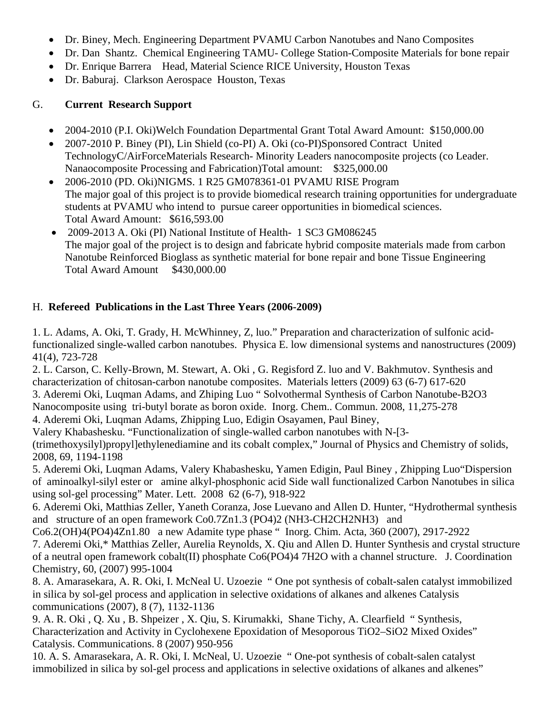- Dr. Biney, Mech. Engineering Department PVAMU Carbon Nanotubes and Nano Composites
- Dr. Dan Shantz. Chemical Engineering TAMU- College Station-Composite Materials for bone repair
- Dr. Enrique Barrera Head, Material Science RICE University, Houston Texas
- Dr. Baburaj. Clarkson Aerospace Houston, Texas

# G. **Current Research Support**

- 2004-2010 (P.I. Oki) Welch Foundation Departmental Grant Total Award Amount: \$150,000.00
- 2007-2010 P. Biney (PI), Lin Shield (co-PI) A. Oki (co-PI)Sponsored Contract United TechnologyC/AirForceMaterials Research- Minority Leaders nanocomposite projects (co Leader. Nanaocomposite Processing and Fabrication)Total amount: \$325,000.00
- 2006-2010 (PD. Oki)NIGMS. 1 R25 GM078361-01 PVAMU RISE Program The major goal of this project is to provide biomedical research training opportunities for undergraduate students at PVAMU who intend to pursue career opportunities in biomedical sciences. Total Award Amount: \$616,593.00
- 2009-2013 A. Oki (PI) National Institute of Health- 1 SC3 GM086245 The major goal of the project is to design and fabricate hybrid composite materials made from carbon Nanotube Reinforced Bioglass as synthetic material for bone repair and bone Tissue Engineering Total Award Amount \$430,000.00

# H. **Refereed Publications in the Last Three Years (2006-2009)**

1. L. Adams, A. Oki, T. Grady, H. McWhinney, Z, luo." Preparation and characterization of sulfonic acidfunctionalized single-walled carbon nanotubes. Physica E. low dimensional systems and nanostructures (2009) 41(4), 723-728

2. L. Carson, C. Kelly-Brown, M. Stewart, A. Oki , G. Regisford Z. luo and V. Bakhmutov. Synthesis and characterization of chitosan-carbon nanotube composites. Materials letters (2009) 63 (6-7) 617-620

3. Aderemi Oki, Luqman Adams, and Zhiping Luo " Solvothermal Synthesis of Carbon Nanotube-B2O3

Nanocomposite using tri-butyl borate as boron oxide. Inorg. Chem.. Commun. 2008, 11,275-278

4. Aderemi Oki, Luqman Adams, Zhipping Luo, Edigin Osayamen, Paul Biney,

Valery Khabashesku. "Functionalization of single-walled carbon nanotubes with N-[3-

(trimethoxysilyl)propyl]ethylenediamine and its cobalt complex," Journal of Physics and Chemistry of solids, 2008, 69, 1194-1198

5. Aderemi Oki, Luqman Adams, Valery Khabashesku, Yamen Edigin, Paul Biney , Zhipping Luo"Dispersion of aminoalkyl-silyl ester or amine alkyl-phosphonic acid Side wall functionalized Carbon Nanotubes in silica using sol-gel processing" Mater. Lett. 2008 62 (6-7), 918-922

6. Aderemi Oki, Matthias Zeller, Yaneth Coranza, Jose Luevano and Allen D. Hunter, "Hydrothermal synthesis and structure of an open framework Co0.7Zn1.3 (PO4)2 (NH3-CH2CH2NH3) and

Co6.2(OH)4(PO4)4Zn1.80 a new Adamite type phase " Inorg. Chim. Acta, 360 (2007), 2917-2922

7. Aderemi Oki,\* Matthias Zeller, Aurelia Reynolds, X. Qiu and Allen D. Hunter Synthesis and crystal structure of a neutral open framework cobalt(II) phosphate Co6(PO4)4 7H2O with a channel structure. J. Coordination Chemistry, 60, (2007) 995-1004

8. A. Amarasekara, A. R. Oki, I. McNeal U. Uzoezie " One pot synthesis of cobalt-salen catalyst immobilized in silica by sol-gel process and application in selective oxidations of alkanes and alkenes Catalysis communications (2007), 8 (7), 1132-1136

9. A. R. Oki , Q. Xu , B. Shpeizer , X. Qiu, S. Kirumakki, Shane Tichy, A. Clearfield " Synthesis, Characterization and Activity in Cyclohexene Epoxidation of Mesoporous TiO2–SiO2 Mixed Oxides" Catalysis. Communications. 8 (2007) 950-956

10. A. S. Amarasekara, A. R. Oki, I. McNeal, U. Uzoezie " One-pot synthesis of cobalt-salen catalyst immobilized in silica by sol-gel process and applications in selective oxidations of alkanes and alkenes"